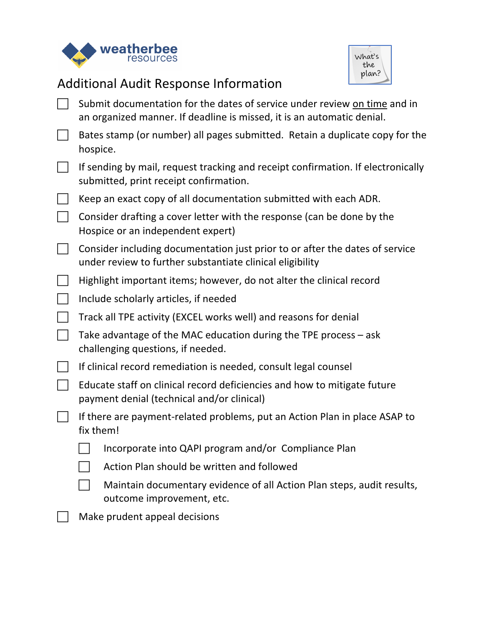



## Additional Audit Response Information

| Submit documentation for the dates of service under review on time and in<br>an organized manner. If deadline is missed, it is an automatic denial. |
|-----------------------------------------------------------------------------------------------------------------------------------------------------|
| Bates stamp (or number) all pages submitted. Retain a duplicate copy for the<br>hospice.                                                            |
| If sending by mail, request tracking and receipt confirmation. If electronically<br>submitted, print receipt confirmation.                          |
| Keep an exact copy of all documentation submitted with each ADR.                                                                                    |
| Consider drafting a cover letter with the response (can be done by the<br>Hospice or an independent expert)                                         |
| Consider including documentation just prior to or after the dates of service<br>under review to further substantiate clinical eligibility           |
| Highlight important items; however, do not alter the clinical record                                                                                |
| Include scholarly articles, if needed                                                                                                               |
| Track all TPE activity (EXCEL works well) and reasons for denial                                                                                    |
| Take advantage of the MAC education during the TPE process - ask<br>challenging questions, if needed.                                               |
| If clinical record remediation is needed, consult legal counsel                                                                                     |
| Educate staff on clinical record deficiencies and how to mitigate future<br>payment denial (technical and/or clinical)                              |
| If there are payment-related problems, put an Action Plan in place ASAP to<br>fix them!                                                             |
| Incorporate into QAPI program and/or Compliance Plan                                                                                                |
| Action Plan should be written and followed                                                                                                          |
| Maintain documentary evidence of all Action Plan steps, audit results,<br>outcome improvement, etc.                                                 |
| Make prudent appeal decisions                                                                                                                       |